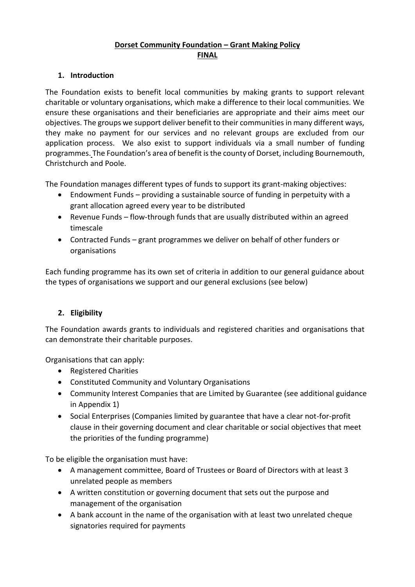## **Dorset Community Foundation – Grant Making Policy FINAL**

#### **1. Introduction**

The Foundation exists to benefit local communities by making grants to support relevant charitable or voluntary organisations, which make a difference to their local communities. We ensure these organisations and their beneficiaries are appropriate and their aims meet our objectives. The groups we support deliver benefit to their communities in many different ways, they make no payment for our services and no relevant groups are excluded from our application process. We also exist to support individuals via a small number of funding programmes. The Foundation's area of benefit isthe county of Dorset, including Bournemouth, Christchurch and Poole.

The Foundation manages different types of funds to support its grant-making objectives:

- Endowment Funds providing a sustainable source of funding in perpetuity with a grant allocation agreed every year to be distributed
- Revenue Funds flow-through funds that are usually distributed within an agreed timescale
- Contracted Funds grant programmes we deliver on behalf of other funders or organisations

Each funding programme has its own set of criteria in addition to our general guidance about the types of organisations we support and our general exclusions (see below)

## **2. Eligibility**

The Foundation awards grants to individuals and registered charities and organisations that can demonstrate their charitable purposes.

Organisations that can apply:

- Registered Charities
- Constituted Community and Voluntary Organisations
- Community Interest Companies that are Limited by Guarantee (see additional guidance in Appendix 1)
- Social Enterprises (Companies limited by guarantee that have a clear not-for-profit clause in their governing document and clear charitable or social objectives that meet the priorities of the funding programme)

To be eligible the organisation must have:

- A management committee, Board of Trustees or Board of Directors with at least 3 unrelated people as members
- A written constitution or governing document that sets out the purpose and management of the organisation
- A bank account in the name of the organisation with at least two unrelated cheque signatories required for payments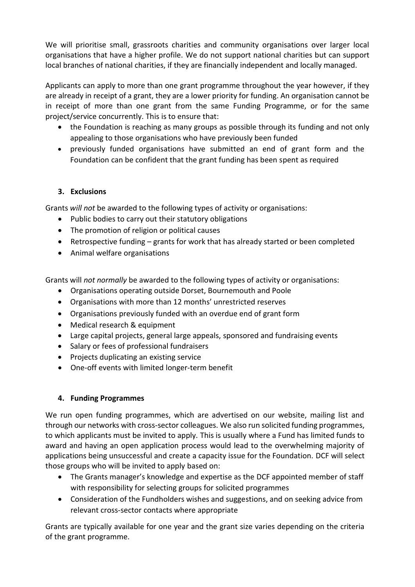We will prioritise small, grassroots charities and community organisations over larger local organisations that have a higher profile. We do not support national charities but can support local branches of national charities, if they are financially independent and locally managed.

Applicants can apply to more than one grant programme throughout the year however, if they are already in receipt of a grant, they are a lower priority for funding. An organisation cannot be in receipt of more than one grant from the same Funding Programme, or for the same project/service concurrently. This is to ensure that:

- the Foundation is reaching as many groups as possible through its funding and not only appealing to those organisations who have previously been funded
- previously funded organisations have submitted an end of grant form and the Foundation can be confident that the grant funding has been spent as required

#### **3. Exclusions**

Grants *will not* be awarded to the following types of activity or organisations:

- Public bodies to carry out their statutory obligations
- The promotion of religion or political causes
- Retrospective funding grants for work that has already started or been completed
- Animal welfare organisations

Grants will *not normally* be awarded to the following types of activity or organisations:

- Organisations operating outside Dorset, Bournemouth and Poole
- Organisations with more than 12 months' unrestricted reserves
- Organisations previously funded with an overdue end of grant form
- Medical research & equipment
- Large capital projects, general large appeals, sponsored and fundraising events
- Salary or fees of professional fundraisers
- Projects duplicating an existing service
- One-off events with limited longer-term benefit

## **4. Funding Programmes**

We run open funding programmes, which are advertised on our website, mailing list and through our networks with cross-sector colleagues. We also run solicited funding programmes, to which applicants must be invited to apply. This is usually where a Fund has limited funds to award and having an open application process would lead to the overwhelming majority of applications being unsuccessful and create a capacity issue for the Foundation. DCF will select those groups who will be invited to apply based on:

- The Grants manager's knowledge and expertise as the DCF appointed member of staff with responsibility for selecting groups for solicited programmes
- Consideration of the Fundholders wishes and suggestions, and on seeking advice from relevant cross-sector contacts where appropriate

Grants are typically available for one year and the grant size varies depending on the criteria of the grant programme.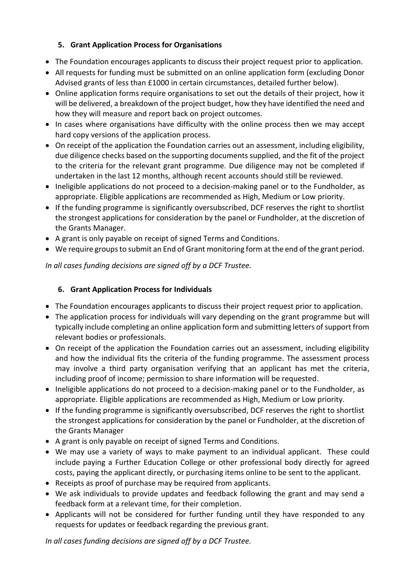# **5. Grant Application Process for Organisations**

- The Foundation encourages applicants to discuss their project request prior to application.
- All requests for funding must be submitted on an online application form (excluding Donor Advised grants of less than £1000 in certain circumstances, detailed further below).
- Online application forms require organisations to set out the details of their project, how it will be delivered, a breakdown of the project budget, how they have identified the need and how they will measure and report back on project outcomes.
- In cases where organisations have difficulty with the online process then we may accept hard copy versions of the application process.
- On receipt of the application the Foundation carries out an assessment, including eligibility, due diligence checks based on the supporting documents supplied, and the fit of the project to the criteria for the relevant grant programme. Due diligence may not be completed if undertaken in the last 12 months, although recent accounts should still be reviewed.
- Ineligible applications do not proceed to a decision-making panel or to the Fundholder, as appropriate. Eligible applications are recommended as High, Medium or Low priority.
- If the funding programme is significantly oversubscribed, DCF reserves the right to shortlist the strongest applications for consideration by the panel or Fundholder, at the discretion of the Grants Manager.
- A grant is only payable on receipt of signed Terms and Conditions.
- We require groups to submit an End of Grant monitoring form at the end of the grant period.

*In all cases funding decisions are signed off by a DCF Trustee.* 

# **6. Grant Application Process for Individuals**

- The Foundation encourages applicants to discuss their project request prior to application.
- The application process for individuals will vary depending on the grant programme but will typically include completing an online application form and submitting letters of support from relevant bodies or professionals.
- On receipt of the application the Foundation carries out an assessment, including eligibility and how the individual fits the criteria of the funding programme. The assessment process may involve a third party organisation verifying that an applicant has met the criteria, including proof of income; permission to share information will be requested.
- Ineligible applications do not proceed to a decision-making panel or to the Fundholder, as appropriate. Eligible applications are recommended as High, Medium or Low priority.
- If the funding programme is significantly oversubscribed, DCF reserves the right to shortlist the strongest applications for consideration by the panel or Fundholder, at the discretion of the Grants Manager
- A grant is only payable on receipt of signed Terms and Conditions.
- We may use a variety of ways to make payment to an individual applicant. These could include paying a Further Education College or other professional body directly for agreed costs, paying the applicant directly, or purchasing items online to be sent to the applicant.
- Receipts as proof of purchase may be required from applicants.
- We ask individuals to provide updates and feedback following the grant and may send a feedback form at a relevant time, for their completion.
- Applicants will not be considered for further funding until they have responded to any requests for updates or feedback regarding the previous grant.

*In all cases funding decisions are signed off by a DCF Trustee.*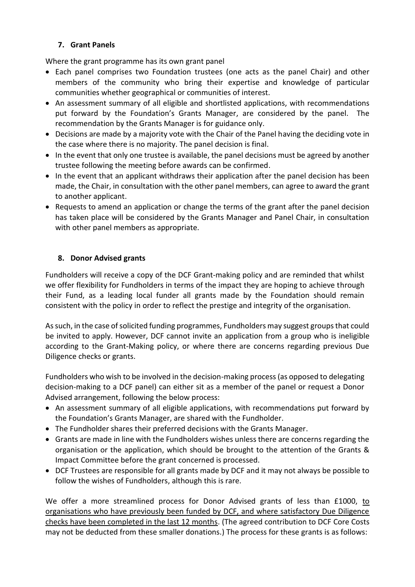## **7. Grant Panels**

Where the grant programme has its own grant panel

- Each panel comprises two Foundation trustees (one acts as the panel Chair) and other members of the community who bring their expertise and knowledge of particular communities whether geographical or communities of interest.
- An assessment summary of all eligible and shortlisted applications, with recommendations put forward by the Foundation's Grants Manager, are considered by the panel. The recommendation by the Grants Manager is for guidance only.
- Decisions are made by a majority vote with the Chair of the Panel having the deciding vote in the case where there is no majority. The panel decision is final.
- In the event that only one trustee is available, the panel decisions must be agreed by another trustee following the meeting before awards can be confirmed.
- In the event that an applicant withdraws their application after the panel decision has been made, the Chair, in consultation with the other panel members, can agree to award the grant to another applicant.
- Requests to amend an application or change the terms of the grant after the panel decision has taken place will be considered by the Grants Manager and Panel Chair, in consultation with other panel members as appropriate.

#### **8. Donor Advised grants**

Fundholders will receive a copy of the DCF Grant-making policy and are reminded that whilst we offer flexibility for Fundholders in terms of the impact they are hoping to achieve through their Fund, as a leading local funder all grants made by the Foundation should remain consistent with the policy in order to reflect the prestige and integrity of the organisation.

As such, in the case of solicited funding programmes, Fundholders may suggest groups that could be invited to apply. However, DCF cannot invite an application from a group who is ineligible according to the Grant-Making policy, or where there are concerns regarding previous Due Diligence checks or grants.

Fundholders who wish to be involved in the decision-making process (as opposed to delegating decision-making to a DCF panel) can either sit as a member of the panel or request a Donor Advised arrangement, following the below process:

- An assessment summary of all eligible applications, with recommendations put forward by the Foundation's Grants Manager, are shared with the Fundholder.
- The Fundholder shares their preferred decisions with the Grants Manager.
- Grants are made in line with the Fundholders wishes unless there are concerns regarding the organisation or the application, which should be brought to the attention of the Grants & Impact Committee before the grant concerned is processed.
- DCF Trustees are responsible for all grants made by DCF and it may not always be possible to follow the wishes of Fundholders, although this is rare.

We offer a more streamlined process for Donor Advised grants of less than £1000, to organisations who have previously been funded by DCF, and where satisfactory Due Diligence checks have been completed in the last 12 months. (The agreed contribution to DCF Core Costs may not be deducted from these smaller donations.) The process for these grants is as follows: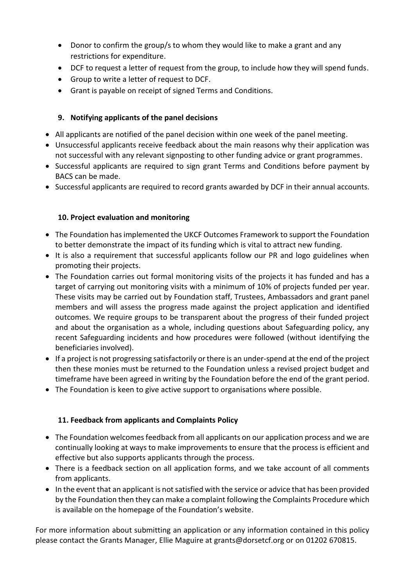- Donor to confirm the group/s to whom they would like to make a grant and any restrictions for expenditure.
- DCF to request a letter of request from the group, to include how they will spend funds.
- Group to write a letter of request to DCF.
- Grant is payable on receipt of signed Terms and Conditions.

#### **9. Notifying applicants of the panel decisions**

- All applicants are notified of the panel decision within one week of the panel meeting.
- Unsuccessful applicants receive feedback about the main reasons why their application was not successful with any relevant signposting to other funding advice or grant programmes.
- Successful applicants are required to sign grant Terms and Conditions before payment by BACS can be made.
- Successful applicants are required to record grants awarded by DCF in their annual accounts.

#### **10. Project evaluation and monitoring**

- The Foundation has implemented the UKCF Outcomes Framework to support the Foundation to better demonstrate the impact of its funding which is vital to attract new funding.
- It is also a requirement that successful applicants follow our PR and logo guidelines when promoting their projects.
- The Foundation carries out formal monitoring visits of the projects it has funded and has a target of carrying out monitoring visits with a minimum of 10% of projects funded per year. These visits may be carried out by Foundation staff, Trustees, Ambassadors and grant panel members and will assess the progress made against the project application and identified outcomes. We require groups to be transparent about the progress of their funded project and about the organisation as a whole, including questions about Safeguarding policy, any recent Safeguarding incidents and how procedures were followed (without identifying the beneficiaries involved).
- If a project is not progressing satisfactorily or there is an under-spend at the end of the project then these monies must be returned to the Foundation unless a revised project budget and timeframe have been agreed in writing by the Foundation before the end of the grant period.
- The Foundation is keen to give active support to organisations where possible.

#### **11. Feedback from applicants and Complaints Policy**

- The Foundation welcomes feedback from all applicants on our application process and we are continually looking at ways to make improvements to ensure that the process is efficient and effective but also supports applicants through the process.
- There is a feedback section on all application forms, and we take account of all comments from applicants.
- In the event that an applicant is not satisfied with the service or advice that has been provided by the Foundation then they can make a complaint following the Complaints Procedure which is available on the homepage of the Foundation's website.

For more information about submitting an application or any information contained in this policy please contact the Grants Manager, Ellie Maguire at grants@dorsetcf.org or on 01202 670815.